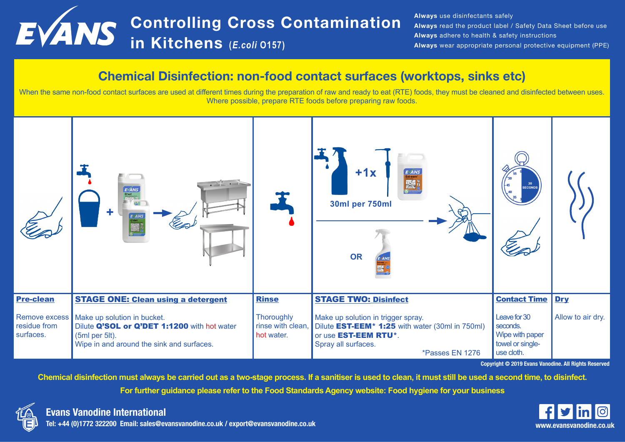# Controlling Cross Contamination in Kitchens **(***E.coli* **O157)**

Always use disinfectants safely Always read the product label / Safety Data Sheet before use Always adhere to health & safety instructions Always wear appropriate personal protective equipment (PPE)

#### Chemical Disinfection: non-food contact surfaces (worktops, sinks etc)

When the same non-food contact surfaces are used at different times during the preparation of raw and ready to eat (RTE) foods, they must be cleaned and disinfected between uses. Where possible, prepare RTE foods before preparing raw foods.



Copyright © 2019 Evans Vanodine. All Rights Reserved

**Chemical disinfection must always be carried out as a two-stage process. If a sanitiser is used to clean, it must still be used a second time, to disinfect.**

**For further guidance please refer to the Food Standards Agency website: Food hygiene for your business**